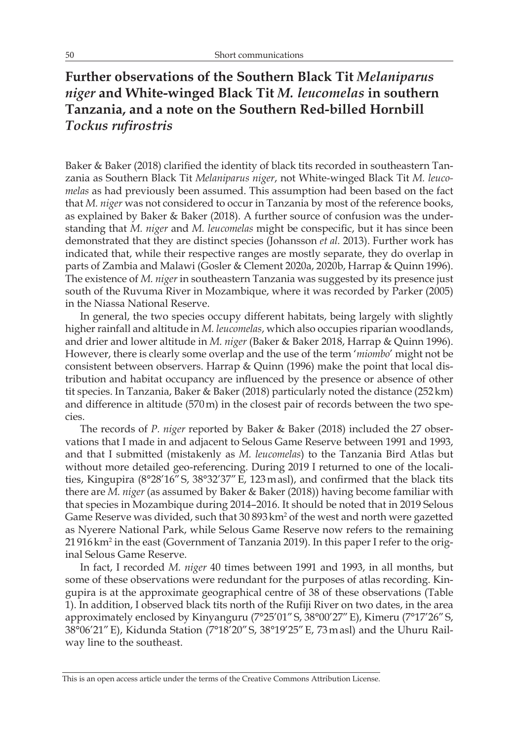## **Further observations of the Southern Black Tit** *Melaniparus niger* **and White-winged Black Tit** *M. leucomelas* **in southern Tanzania, and a note on the Southern Red-billed Hornbill**  *Tockus rufirostris*

Baker & Baker (2018) clarified the identity of black tits recorded in southeastern Tanzania as Southern Black Tit *Melaniparus niger*, not White-winged Black Tit *M. leucomelas* as had previously been assumed. This assumption had been based on the fact that *M. niger* was not considered to occur in Tanzania by most of the reference books, as explained by Baker & Baker (2018). A further source of confusion was the understanding that *M. niger* and *M. leucomelas* might be conspecific, but it has since been demonstrated that they are distinct species (Johansson *et al.* 2013). Further work has indicated that, while their respective ranges are mostly separate, they do overlap in parts of Zambia and Malawi (Gosler & Clement 2020a, 2020b, Harrap & Quinn 1996). The existence of *M. niger* in southeastern Tanzania was suggested by its presence just south of the Ruvuma River in Mozambique, where it was recorded by Parker (2005) in the Niassa National Reserve.

In general, the two species occupy different habitats, being largely with slightly higher rainfall and altitude in *M. leucomelas*, which also occupies riparian woodlands, and drier and lower altitude in *M. niger* (Baker & Baker 2018, Harrap & Quinn 1996). However, there is clearly some overlap and the use of the term '*miombo*' might not be consistent between observers. Harrap & Quinn (1996) make the point that local distribution and habitat occupancy are influenced by the presence or absence of other tit species. In Tanzania, Baker & Baker (2018) particularly noted the distance (252km) and difference in altitude (570m) in the closest pair of records between the two species.

The records of *P. niger* reported by Baker & Baker (2018) included the 27 observations that I made in and adjacent to Selous Game Reserve between 1991 and 1993, and that I submitted (mistakenly as *M. leucomelas*) to the Tanzania Bird Atlas but without more detailed geo-referencing. During 2019 I returned to one of the localities, Kingupira (8°28'16"S, 38°32'37"E, 123masl), and confirmed that the black tits there are *M. niger* (as assumed by Baker & Baker (2018)) having become familiar with that species in Mozambique during 2014–2016. It should be noted that in 2019 Selous Game Reserve was divided, such that 30 893 km<sup>2</sup> of the west and north were gazetted as Nyerere National Park, while Selous Game Reserve now refers to the remaining 21 916 km² in the east (Government of Tanzania 2019). In this paper I refer to the original Selous Game Reserve.

In fact, I recorded *M. niger* 40 times between 1991 and 1993, in all months, but some of these observations were redundant for the purposes of atlas recording. Kingupira is at the approximate geographical centre of 38 of these observations (Table 1). In addition, I observed black tits north of the Rufiji River on two dates, in the area approximately enclosed by Kinyanguru (7°25'01"S, 38°00'27"E), Kimeru (7°17'26"S, 38°06'21"E), Kidunda Station (7°18'20"S, 38°19'25"E, 73masl) and the Uhuru Railway line to the southeast.

This is an open access article under the terms of the Creative Commons Attribution License.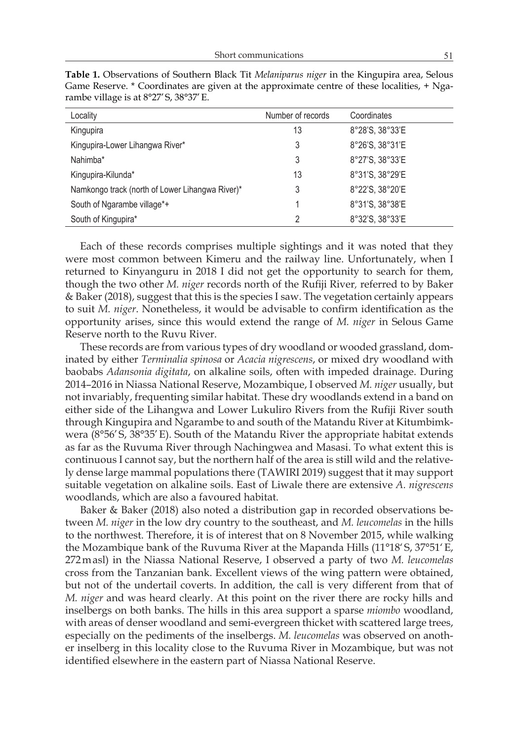| Locality                                        | Number of records | Coordinates     |
|-------------------------------------------------|-------------------|-----------------|
| Kingupira                                       | 13                | 8°28'S, 38°33'E |
| Kingupira-Lower Lihangwa River*                 | 3                 | 8°26'S, 38°31'E |
| Nahimba*                                        | 3                 | 8°27'S, 38°33'E |
| Kingupira-Kilunda*                              | 13                | 8°31'S, 38°29'E |
| Namkongo track (north of Lower Lihangwa River)* | 3                 | 8°22'S, 38°20'E |
| South of Ngarambe village*+                     |                   | 8°31'S, 38°38'E |
| South of Kingupira*                             | 2                 | 8°32'S, 38°33'E |

**Table 1.** Observations of Southern Black Tit *Melaniparus niger* in the Kingupira area, Selous Game Reserve. \* Coordinates are given at the approximate centre of these localities, + Ngarambe village is at 8°27'S, 38°37'E.

Each of these records comprises multiple sightings and it was noted that they were most common between Kimeru and the railway line. Unfortunately, when I returned to Kinyanguru in 2018 I did not get the opportunity to search for them, though the two other *M. niger* records north of the Rufiji River*,* referred to by Baker & Baker (2018), suggest that this is the species I saw. The vegetation certainly appears to suit *M. niger*. Nonetheless, it would be advisable to confirm identification as the opportunity arises, since this would extend the range of *M. niger* in Selous Game Reserve north to the Ruvu River.

These records are from various types of dry woodland or wooded grassland, dominated by either *Terminalia spinosa* or *Acacia nigrescens*, or mixed dry woodland with baobabs *Adansonia digitata*, on alkaline soils, often with impeded drainage. During 2014–2016 in Niassa National Reserve, Mozambique, I observed *M. niger* usually, but not invariably, frequenting similar habitat. These dry woodlands extend in a band on either side of the Lihangwa and Lower Lukuliro Rivers from the Rufiji River south through Kingupira and Ngarambe to and south of the Matandu River at Kitumbimkwera (8°56'S, 38°35'E). South of the Matandu River the appropriate habitat extends as far as the Ruvuma River through Nachingwea and Masasi. To what extent this is continuous I cannot say, but the northern half of the area is still wild and the relatively dense large mammal populations there (TAWIRI 2019) suggest that it may support suitable vegetation on alkaline soils. East of Liwale there are extensive *A. nigrescens* woodlands, which are also a favoured habitat.

Baker & Baker (2018) also noted a distribution gap in recorded observations between *M. niger* in the low dry country to the southeast, and *M. leucomelas* in the hills to the northwest. Therefore, it is of interest that on 8 November 2015, while walking the Mozambique bank of the Ruvuma River at the Mapanda Hills (11°18'S, 37°51'E, 272masl) in the Niassa National Reserve, I observed a party of two *M. leucomelas* cross from the Tanzanian bank. Excellent views of the wing pattern were obtained, but not of the undertail coverts. In addition, the call is very different from that of *M. niger* and was heard clearly. At this point on the river there are rocky hills and inselbergs on both banks. The hills in this area support a sparse *miombo* woodland, with areas of denser woodland and semi-evergreen thicket with scattered large trees, especially on the pediments of the inselbergs. *M. leucomelas* was observed on another inselberg in this locality close to the Ruvuma River in Mozambique, but was not identified elsewhere in the eastern part of Niassa National Reserve.